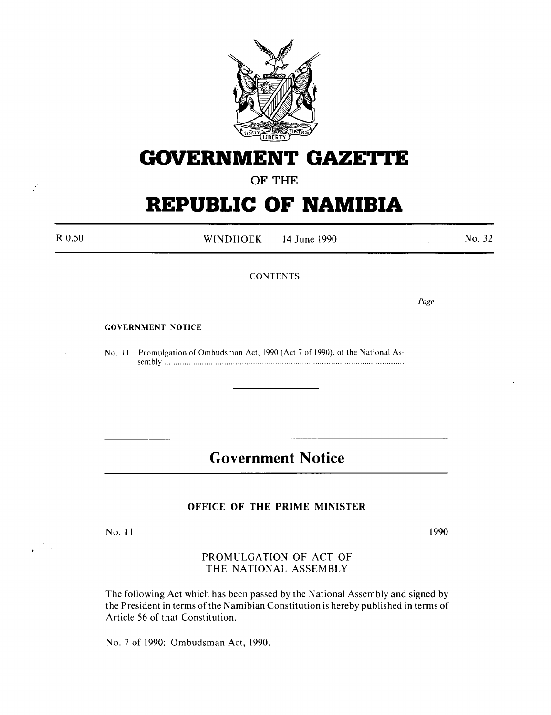

# **GOVERNMENT GAZETTE**

### OF THE

# **REPUBLIC OF NAMIBIA**

| R 0.50 | WINDHOEK $-$ 14 June 1990                                                          | $\sim$ $\sim$ | No. 32 |
|--------|------------------------------------------------------------------------------------|---------------|--------|
|        | <b>CONTENTS:</b>                                                                   |               |        |
|        |                                                                                    | Page          |        |
|        | <b>GOVERNMENT NOTICE</b>                                                           |               |        |
|        | Promulgation of Ombudsman Act, 1990 (Act 7 of 1990), of the National As-<br>No. 11 |               |        |

## **Government Notice**

### OFFICE OF THE PRIME MINISTER

No. 11

 $\frac{1}{2}$ 

1990

PROMULGATION OF ACT OF THE NATIONAL ASSEMBLY

The following Act which has been passed by the National Assembly and signed by the President in terms of the Namibian Constitution is hereby published in terms of Article 56 of that Constitution.

No. 7 of 1990: Ombudsman Act, 1990.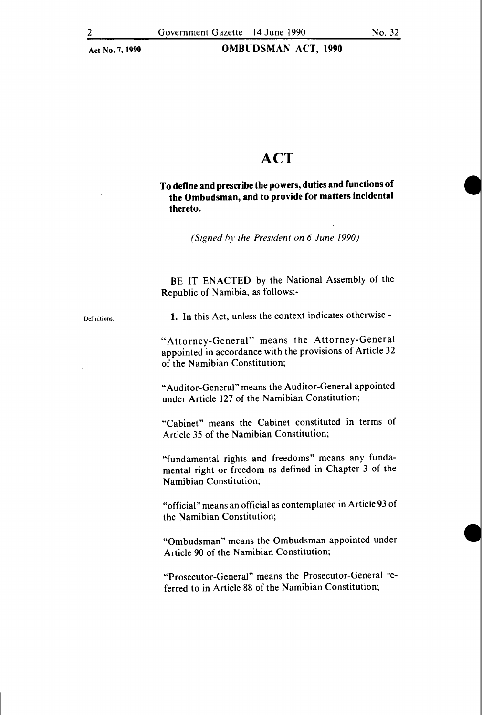### OMBUDSMAN ACT, 1990

### **ACT**

### To define and prescribe the powers, duties and functions of the Ombudsman, and to provide for matters incidental thereto.

*(Signed hy the President on 6 June 1990)* 

BE IT ENACTED by the National Assembly of the Republic of Namibia, as follows:-

Definitions.

1. In this Act, unless the context indicates otherwise-

"Attorney-General" means the Attorney-General appointed in accordance with the provisions of Article 32 of the Namibian Constitution;

"Auditor-General" means the Auditor-General appointed under Article 127 of the Namibian Constitution;

"Cabinet" means the Cabinet constituted in terms of Article 35 of the Namibian Constitution;

"fundamental rights and freedoms" means any fundamental right or freedom as defined in Chapter 3 of the Namibian Constitution;

"official" means an official as contemplated in Article 93 of the Namibian Constitution;

"Ombudsman" means the Ombudsman appointed under Article 90 of the Namibian Constitution;

"Prosecutor-General" means the Prosecutor-General referred to in Article 88 of the Namibian Constitution;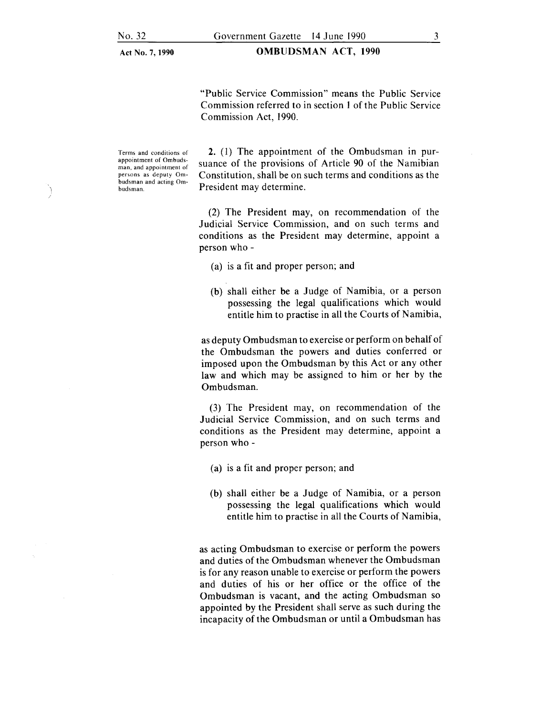#### OMBUDSMAN ACT, 1990

"Public Service Commission" means the Public Service Commission referred to in section I of the Public Service Commission Act, 1990.

Terms and conditions of appointment of Ombudsman. and appointment of persons as deputy Ombudsman and acting Ombudsman.

2. (I) The appointment of the Ombudsman in pursuance of the provisions of Article 90 of the Namibian Constitution, shall be on such terms and conditions as the President may determine.

(2) The President may, on recommendation of the Judicial Service Commission, and on such terms and conditions as the President may determine, appoint a person who-

- (a) is a fit and proper person; and
- (b) shall either be a Judge of Namibia, or a person possessing the legal qualifications which would entitle him to practise in all the Courts of Namibia,

as deputy Ombudsman to exercise or perform on behalf of the Ombudsman the powers and duties conferred or imposed upon the Ombudsman by this Act or any other law and which may be assigned to him or her by the Ombudsman.

(3) The President may, on recommendation of the Judicial Service Commission, and on such terms and conditions as the President may determine, appoint a person who-

- (a) is a fit and proper person; and
- (b) shall either be a Judge of Namibia, or a person possessing the legal qualifications which would entitle him to practise in all the Courts of Namibia,

as acting Ombudsman to exercise or perform the powers and duties of the Ombudsman whenever the Ombudsman is for any reason unable to exercise or perform the powers and duties of his or her office or the office of the Ombudsman is vacant, and the acting Ombudsman so appointed by the President shall serve as such during the incapacity of the Ombudsman or until a Ombudsman has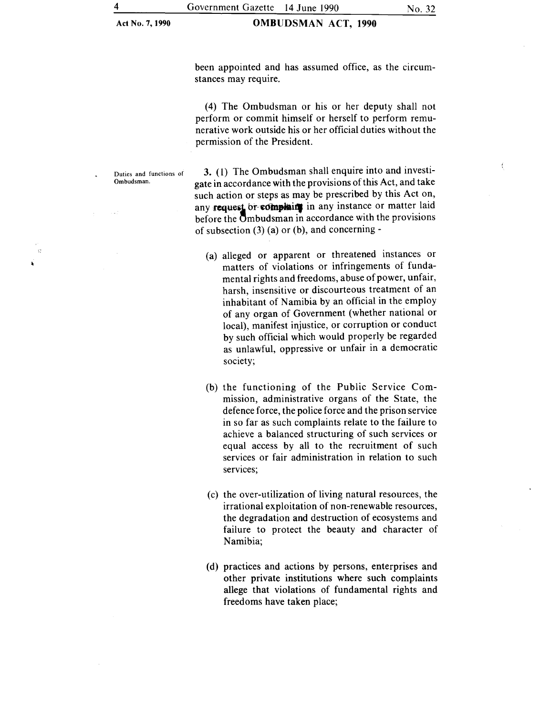### OMBUDSMAN ACT, 1990

ť

been appointed and has assumed office, as the circumstances may require.

(4) The Ombudsman or his or her deputy shall not perform or commit himself or herself to perform remunerative work outside his or her official duties without the permission of the President.

Duties and functions of Ombudsman.

 $\mathcal{R}^2$ 

3. (1) The Ombudsman shall enquire into and investigate in accordance with the provisions of this Act, and take such action or steps as may be prescribed by this Act on, any request or complair in any instance or matter laid before the Ombudsman in accordance with the provisions of subsection  $(3)$  (a) or (b), and concerning -

- (a) alleged or apparent or threatened instances or matters of violations or infringements of fundamental rights and freedoms, abuse of power, unfair, harsh, insensitive or discourteous treatment of an inhabitant of Namibia by an official in the employ of any organ of Government (whether national or local), manifest injustice, or corruption or conduct by such official which would properly be regarded as unlawful, oppressive or unfair in a democratic society;
- (b) the functioning of the Public Service Commission, administrative organs of the State, the defence force, the police force and the prison service in so far as such complaints relate to the failure to achieve a balanced structuring of such services or equal access by all to the recruitment of such services or fair administration in relation to such services;
- (c) the over-utilization of living natural resources, the irrational exploitation of non-renewable resources, the degradation and destruction of ecosystems and failure to protect the beauty and character of Namibia;
- (d) practices and actions by persons, enterprises and other private institutions where such complaints allege that violations of fundamental rights and freedoms have taken place;

4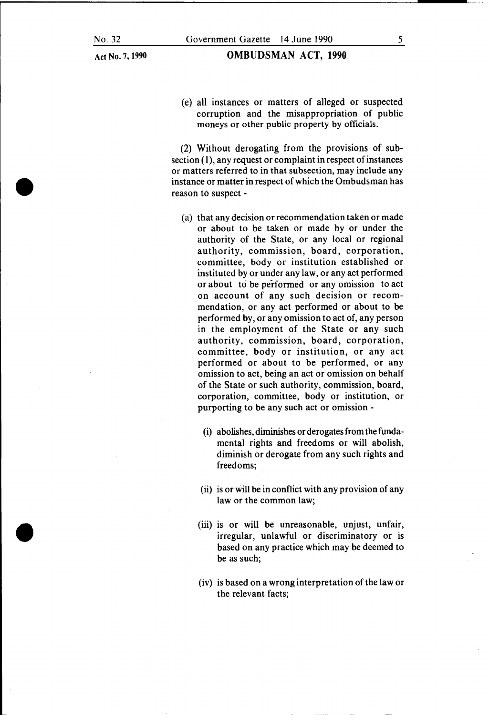•

•

Act No.7, 1990

#### OMBUDSMAN ACT, 1990

(e) all instances or matters of alleged or suspected corruption and the misappropriation of public moneys or other public property by officials.

(2) Without derogating from the provisions of sub $section(1)$ , any request or complaint in respect of instances or matters referred to in that subsection, may include any instance or matter in respect of which the Ombudsman has reason to suspect -

- (a) that any decision or recommendation taken or made or about to be taken or made by or under the authority of the State, or any local or regional authority, commission, board, corporation, committee, body or institution established or instituted by or under any law, or any act performed or about to be performed or any omission to act on account of any such decision or recommendation, or any act performed or about to be performed by, or any omission to act of, any person in the employment of the State or any such authority, commission, board, corporation, committee, body or institution, or any act performed or about to be performed, or any omission to act, being an act or omission on behalf of the State or such authority, commission, board, corporation, committee, body or institution, or purporting to be any such act or omission -
	- (i) abolishes, diminishes or derogates from the fundamental rights and freedoms or will abolish, diminish or derogate from any such rights and freedoms;
	- (ii) is or will be in conflict with any provision of any law or the common law;
	- (iii) is or will be unreasonable, unjust, unfair, irregular, unlawful or discriminatory or is based on any practice which may be deemed to be as such;
	- (iv) is based on a wrong interpretation of the law or the relevant facts;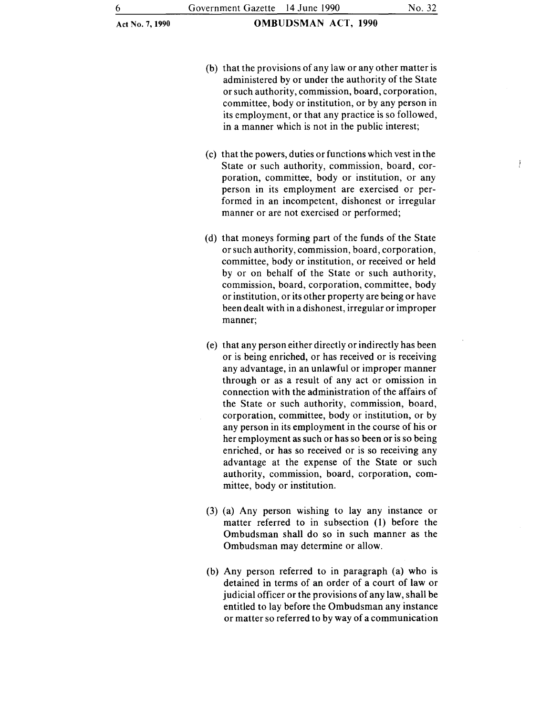- (b) that the provisions of any law or any other matter is administered by or under the authority of the State or such authority, commission, board, corporation, committee, body or institution, or by any person in its employment, or that any practice is so followed, in a manner which is not in the public interest;
- (c) that the powers, duties orfunctions which vest in the State or such authority, commission, board, corporation, committee, body or institution, or any person in its employment are exercised or performed in an incompetent, dishonest or irregular manner or are not exercised or performed;
- (d) that moneys forming part of the funds of the State or such authority, commission, board, corporation, committee, body or institution, or received or held by or on behalf of the State or such authority, commission, board, corporation, committee, body or institution, or its other property are being or have been dealt with in a dishonest, irregular or improper manner;
- (e) that any person either directly or indirectly has been or is being enriched, or has received or is receiving any advantage, in an unlawful or improper manner through or as a result of any act or omission in connection with the administration of the affairs of the State or such authority, commission, board, corporation, committee, body or institution, or by any person in its employment in the course of his or her employment as such or has so been or is so being enriched, or has so received or is so receiving any advantage at the expense of the State or such authority, commission, board, corporation, committee, body or institution.
- (3) (a) Any person wishing to lay any instance or matter referred to in subsection (1) before the Ombudsman shall do so in such manner as the Ombudsman may determine or allow.
- (b) Any person referred to in paragraph (a) who is detained in terms of an order of a court of law or judicial officer or the provisions of any law, shall be entitled to lay before the Ombudsman any instance or matter so referred to by way of a communication

Ĵ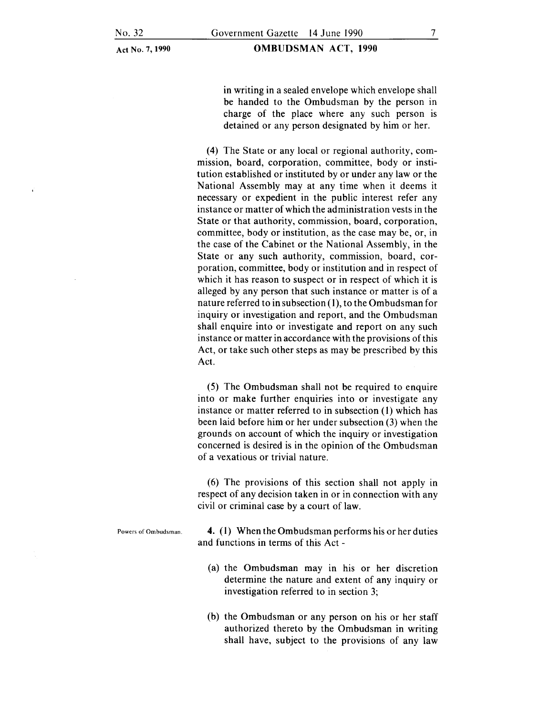OMBUDSMAN ACT, 1990

in writing in a sealed envelope which envelope shall be handed to the Ombudsman by the person in charge of the place where any such person is detained or any person designated by him or her.

(4) The State or any local or regional authority, commission, board, corporation, committee, body or institution established or instituted by or under any law or the National Assembly may at any time when it deems it necessary or expedient in the public interest refer any instance or matter of which the administration vests in the State or that authority, commission, board, corporation, committee, body or institution, as the case may be, or, in the case of the Cabinet or the National Assembly, in the State or any such authority, commission, board, corporation, committee, body or institution and in respect of which it has reason to suspect or in respect of which it is alleged by any person that such instance or matter is of a nature referred to in subsection  $(1)$ , to the Ombudsman for inquiry or investigation and report, and the Ombudsman shall enquire into or investigate and report on any such instance or matter in accordance with the provisions of this Act, or take such other steps as may be prescribed by this Act.

(5) The Ombudsman shall not be required to enquire into or make further enquiries into or investigate any instance or matter referred to in subsection (I) which has been laid before him or her under subsection (3) when the grounds on account of which the inquiry or investigation concerned is desired is in the opinion of the Ombudsman of a vexatious or trivial nature.

(6) The provisions of this section shall not apply in respect of any decision taken in or in connection with any civil or criminal case by a court of law.

Powers of Ombudsman. 4. (I) When the Ombudsman performs his or her duties and functions in terms of this Act -

- (a) the Ombudsman may in his or her discretion determine the nature and extent of any inquiry or investigation referred to in section 3;
- (b) the Ombudsman or any person on his or her staff authorized thereto by the Ombudsman in writing shall have, subject to the provisions of any law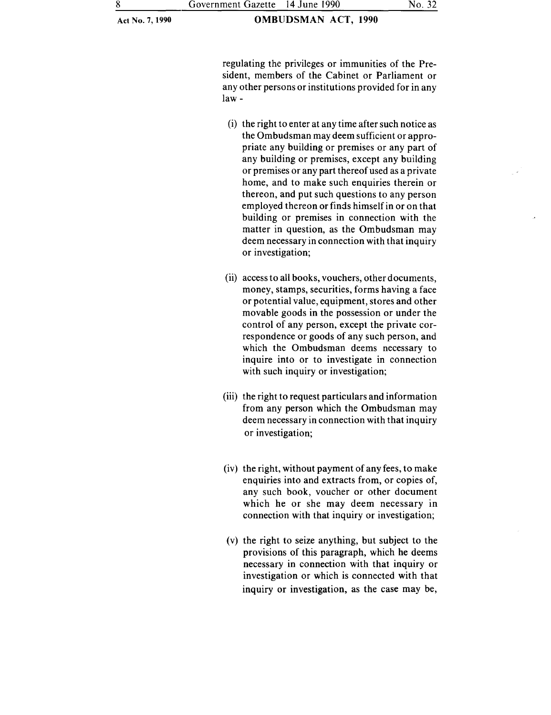regulating the privileges or immunities of the President, members of the Cabinet or Parliament or any other persons or institutions provided for in any law-

- (i) the right to enter at any time after such notice as the Ombudsman may deem sufficient or appropriate any building or premises or any part of any building or premises, except any building or premises or any part thereof used as a private home, and to make such enquiries therein or thereon, and put such questions to any person employed thereon or finds himself in or on that building or premises in connection with the matter in question, as the Ombudsman may deem necessary in connection with that inquiry or investigation;
- (ii) access to all books, vouchers, other documents, money, stamps, securities, forms having a face or potential value, equipment, stores and other movable goods in the possession or under the control of any person, except the private correspondence or goods of any such person, and which the Ombudsman deems necessary to inquire into or to investigate in connection with such inquiry or investigation;
- (iii) the right to request particulars and information from any person which the Ombudsman may deem necessary in connection with that inquiry or investigation;
- (iv) the right, without payment of any fees, to make enquiries into and extracts from, or copies of, any such book, voucher or other document which he or she may deem necessary in connection with that inquiry or investigation;
- (v) the right to seize anything, but subject to the provisions of this paragraph, which he deems necessary in connection with that inquiry or investigation or which is connected with that inquiry or investigation, as the case may be,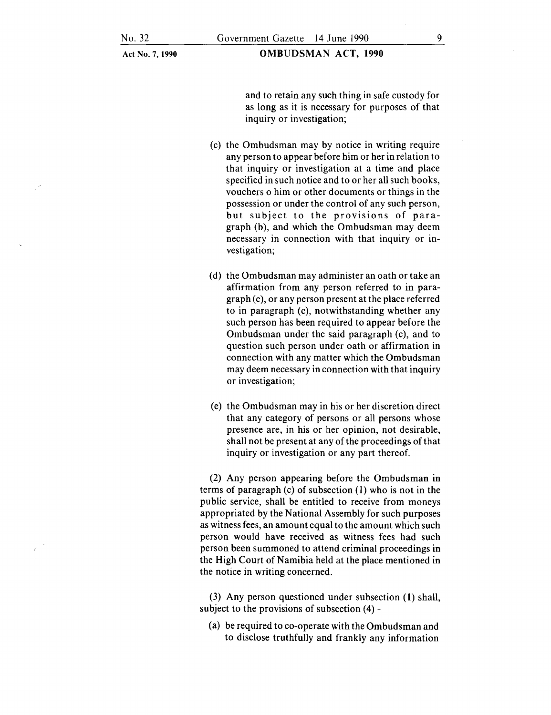OMBUDSMAN ACT, 1990

and to retain any such thing in safe custody for as long as it is necessary for purposes of that inquiry or investigation;

- (c) the Ombudsman may by notice in writing require any person to appear before him or her in relation to that inquiry or investigation at a time and place specified in such notice and to or her all such books, vouchers o him or other documents or things in the possession or under the control of any such person, but subject to the provisions of paragraph (b), and which the Ombudsman may deem necessary in connection with that inquiry or mvestigation;
- (d) the Ombudsman may administer an oath or take an affirmation from any person referred to in paragraph (c), or any person present at the place referred to in paragraph (c), notwithstanding whether any such person has been required to appear before the Ombudsman under the said paragraph (c), and to question such person under oath or affirmation in connection with any matter which the Ombudsman may deem necessary in connection with that inquiry or investigation;
- (e) the Ombudsman may in his or her discretion direct that any category of persons or all persons whose presence are, in his or her opinion, not desirable, shall not be present at any of the proceedings of that inquiry or investigation or any part thereof.

(2) Any person appearing before the Ombudsman in terms of paragraph (c) of subsection (1) who is not in the public service, shall be entitled to receive from moneys appropriated by the National Assembly for such purposes as witness fees, an amount equal to the amount which such person would have received as witness fees had such person been summoned to attend criminal proceedings in the High Court of Namibia held at the place mentioned in the notice in writing concerned.

(3) Any person questioned under subsection (1) shall, subject to the provisions of subsection (4)-

(a) be required to co-operate with the Ombudsman and to disclose truthfully and frankly any information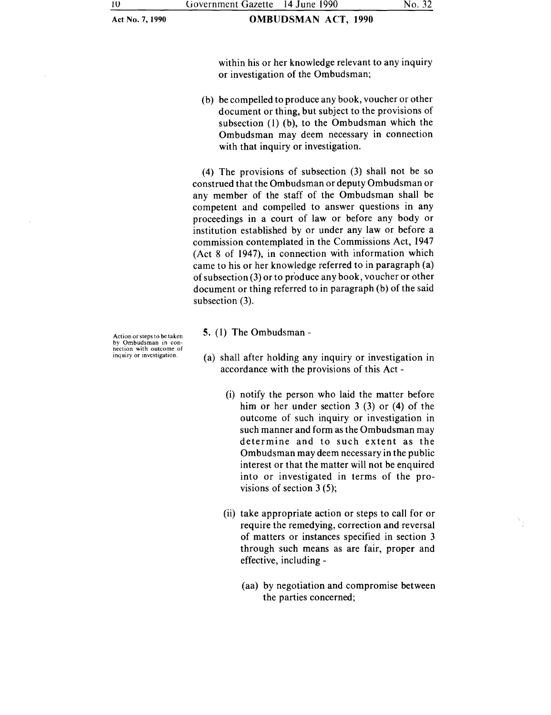within his or her knowledge relevant to any inquiry or investigation of the Ombudsman;

(b) be compelled to produce any book, voucher or other document or thing, but subject to the provisions of subsection (I) (b), to the Ombudsman which the Ombudsman may deem necessary in connection with that inquiry or investigation.

(4) The provisions of subsection (3) shall not be so construed that the Ombudsman or deputy Ombudsman or any member of the staff of the Ombudsman shall be competent and compelled to answer questions in any proceedings in a court of law or before any body or institution established by or under any law or before a commission contemplated in the Commissions Act, 1947 (Act 8 of 1947), in connection with information which came to his or her knowledge referred to in paragraph (a) of subsection (3) or to produce any book, voucher or other document or thing referred to in paragraph (b) of the said subsection (3).

Action or steps to be taken by Ombudsman in con-<br>nection with outcome of inquiry or investigation.

- 5. (I) The Ombudsman-
- (a) shall after holding any inquiry or investigation in accordance with the provisions of this Act -
	- (i) notify the person who laid the matter before him or her under section  $3(3)$  or  $(4)$  of the outcome of such inquiry or investigation in such manner and form as the Ombudsman may determine and to such extent as the Ombudsman may deem necessary in the public interest or that the matter will not be enquired into or investigated in terms of the provisions of section 3 (5);
	- (ii) take appropriate action or steps to call for or require the remedying, correction and reversal of matters or instances specified in section 3 through such means as are fair, proper and effective, including -
		- (aa) by negotiation and compromise between the parties concerned;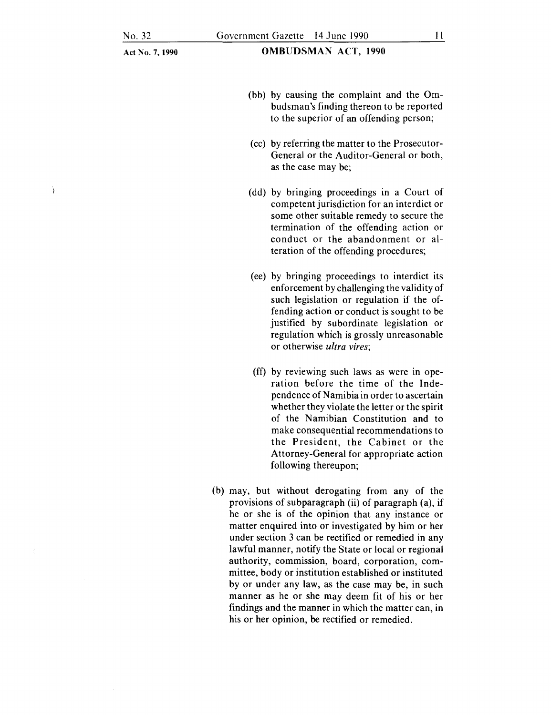Ì

Act No.7, 1990

- (bb) by causing the complaint and the Ombudsman's finding thereon to be reported to the superior of an offending person;
- (cc) by referring the matter to the Prosecutor-General or the Auditor-General or both, as the case may be;
- (dd) by bringing proceedings in a Court of competent jurisdiction for an interdict or some other suitable remedy to secure the termination of the offending action or conduct or the abandonment or alteration of the offending procedures;
- (ee) by bringing proceedings to interdict its enforcement by challenging the validity of such legislation or regulation if the offending action or conduct is sought to be justified by subordinate legislation or regulation which is grossly unreasonable or otherwise *ultra vires;*
- (ff) by reviewing such laws as were in operation before the time of the Independence of Namibia in order to ascertain whether they violate the letter or the spirit of the Namibian Constitution and to make consequential recommendations to the President, the Cabinet or the Attorney-General for appropriate action following thereupon;
- (b) may, but without derogating from any of the provisions of subparagraph (ii) of paragraph (a), if he or she is of the opinion that any instance or matter enquired into or investigated by him or her under section 3 can be rectified or remedied in any lawful manner, notify the State or local or regional authority, commission, board, corporation, committee, body or institution established or instituted by or under any law, as the case may be, in such manner as he or she may deem fit of his or her findings and the manner in which the matter can, in his or her opinion, be rectified or remedied.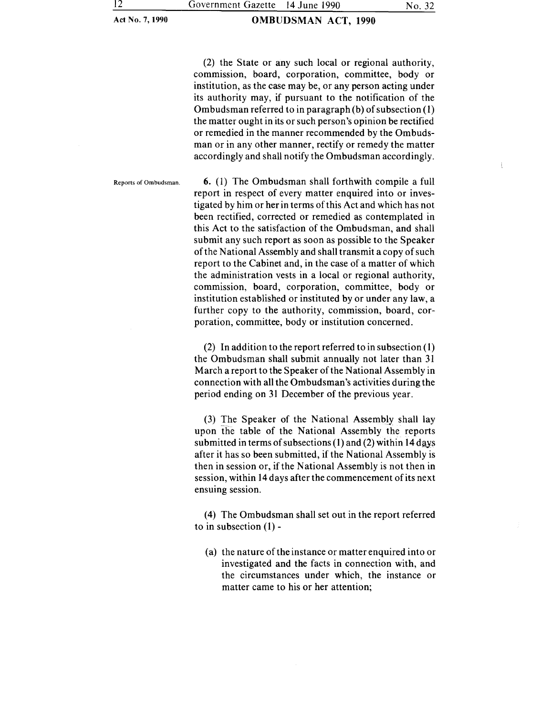### OMBUDSMAN ACT, 1990

(2) the State or any such local or regional authority, commission, board, corporation, committee, body or institution, as the case may be, or any person acting under its authority may, if pursuant to the notification of the Ombudsman referred to in paragraph (b) of subsection ( 1) the matter ought in its or such person's opinion be rectified or remedied in the manner recommended by the Ombudsman or in any other manner, rectify or remedy the matter accordingly and shall notify the Ombudsman accordingly.

Reports of Ombudsman.  $\qquad 6. (1)$  The Ombudsman shall forthwith compile a full report in respect of every matter enquired into or investigated by him or her in terms of this Act and which has not been rectified, corrected or remedied as contemplated in this Act to the satisfaction of the Ombudsman, and shall submit any such report as soon as possible to the Speaker of the National Assembly and shall transmit a copy of such report to the Cabinet and, in the case of a matter of which the administration vests in a local or regional authority, commission, board, corporation, committee, body or institution established or instituted by or under any law, a further copy to the authority, commission, board, corporation, committee, body or institution concerned.

> (2) In addition to the report referred to in subsection  $(1)$ the Ombudsman shall submit annually not later than 31 March a report to the Speaker of the National Assembly in connection with all the Ombudsman's activities during the period ending on 31 December of the previous year.

> (3) The Speaker of the National Assembly shall lay upon the table of the National Assembly the reports submitted in terms of subsections  $(1)$  and  $(2)$  within 14 days after it has so been submitted, if the National Assembly is then in session or, if the National Assembly is not then in session, within 14 days after the commencement of its next ensuing session.

> (4) The Ombudsman shall set out in the report referred to in subsection  $(1)$  -

(a) the nature of the instance or matter enquired into or investigated and the facts in connection with, and the circumstances under which, the instance or matter came to his or her attention;

 $\{$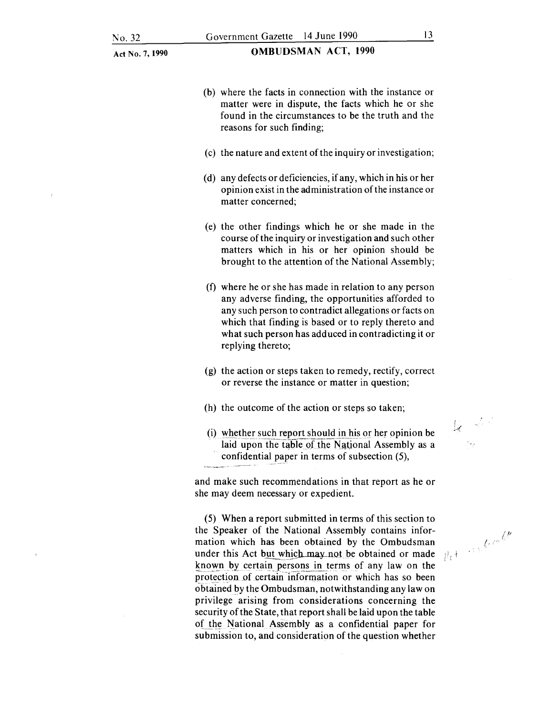OMBUDSMAN ACT, 1990

- (b) where the facts in connection with the instance or matter were in dispute, the facts which he or she found in the circumstances to be the truth and the reasons for such finding;
- (c) the nature and extent of the inquiry or investigation;
- (d) any defects or deficiencies, if any, which in his or her opinion exist in the administration of the instance or matter concerned;
- (e) the other findings which he or she made in the course of the inquiry or investigation and such other matters which in his or her opinion should be brought to the attention of the National Assembly;
- (f) where he or she has made in relation to any person any adverse finding, the opportunities afforded to any such person to contradict allegations or facts on which that finding is based or to reply thereto and what such person has adduced in contradicting it or replying thereto;
- (g) the action or steps taken to remedy, rectify, correct or reverse the instance or matter in question;
- (h) the outcome of the action or steps so taken;
- (i) whether such report should in his or her opinion be laid upon the table of the National Assembly as a confidential paper in terms of subsection (5),

and make such recommendations in that report as he or she may deem necessary or expedient.

(5) When a report submitted in terms of this section to the Speaker of the National Assembly contains information which has been obtained by the Ombudsman under this Act but which may not be obtained or made known by certain persons in terms of any law on the protection of certain information or which has so been obtained by the Ombudsman, notwithstanding any law on privilege arising from considerations concerning the security of the State, that report shall be laid upon the table of the National Assembly as a confidential paper for submission to, and consideration of the question whether

f *>(* 

 $|1, t|$ 

*<i><i>d*<sub>t</sub> *<i>/t* /\* 6!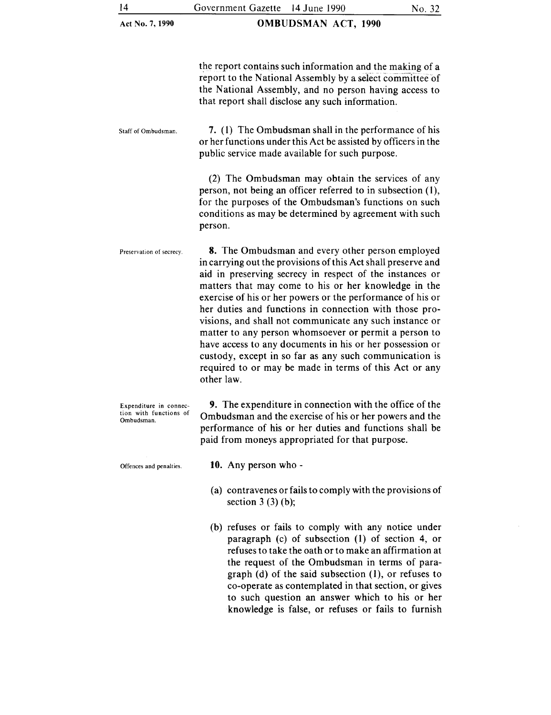OMBUDSMAN ACT, 1990

the report contains such information and the making of a report to the National Assembly by a select committee of the National Assembly, and no person having access to that report shall disclose any such information.

Staff of Ombudsman. 7. (1) The Ombudsman shall in the performance of his or her functions under this Act be assisted by officers in the public service made available for such purpose.

> (2) The Ombudsman may obtain the services of any person, not being an officer referred to in subsection (1), for the purposes of the Ombudsman's functions on such conditions as may be determined by agreement with such person.

Preservation of secrecy. 8. The Ombudsman and every other person employed in carrying out the provisions of this Act shall preserve and aid in preserving secrecy in respect of the instances or matters that may come to his or her knowledge in the exercise of his or her powers or the performance of his or her duties and functions in connection with those provisions, and shall not communicate any such instance or matter to any person whomsoever or permit a person to have access to any documents in his or her possession or custody, except in so far as any such communication is required to or may be made in terms of this Act or any other law.

Expenditure in connection with functions of Ombudsman. 9. The expenditure in connection with the office of the Ombudsman and the exercise of his or her powers and the performance of his or her duties and functions shall be paid from moneys appropriated for that purpose.

Offences and penalties. 10. Any person who -

- (a) contravenes or fails to comply with the provisions of section  $3(3)(b)$ ;
- (b) refuses or fails to comply with any notice under paragraph (c) of subsection (1) of section 4, or refuses to take the oath or to make an affirmation at the request of the Ombudsman in terms of paragraph (d) of the said subsection (I), or refuses to co-operate as contemplated in that section, or gives to such question an answer which to his or her knowledge is false, or refuses or fails to furnish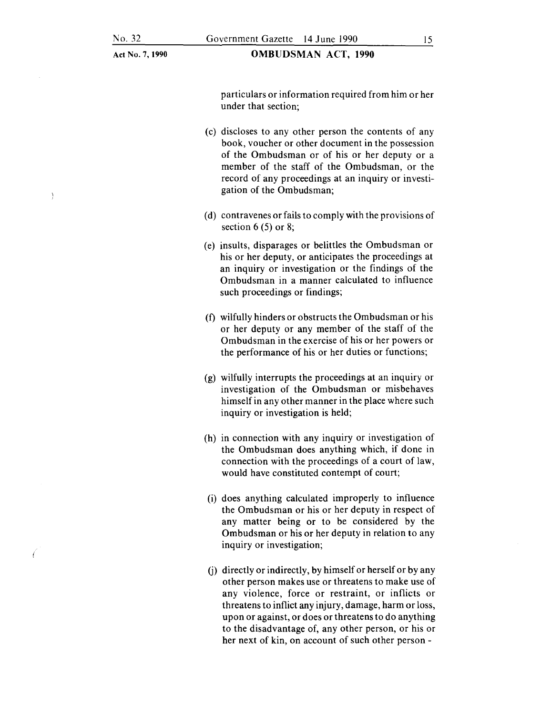-1

Act No.7, **1990** 

**OMBUDSMAN ACT, 1990** 

particulars or information required from him or her under that section;

- (c) discloses to any other person the contents of any book, voucher or other document in the possession of the Ombudsman or of his or her deputy or a member of the staff of the Ombudsman, or the record of any proceedings at an inquiry or investigation of the Ombudsman;
- (d) contravenes or fails to comply with the provisions of section  $6(5)$  or 8;
- (e) insults, disparages or belittles the Ombudsman or his or her deputy, or anticipates the proceedings at an inquiry or investigation or the findings of the Ombudsman in a manner calculated to influence such proceedings or findings;
- (f) wilfully hinders or obstructs the Ombudsman or his or her deputy or any member of the staff of the Ombudsman in the exercise of his or her powers or the performance of his or her duties or functions;
- (g) wilfully interrupts the proceedings at an inquiry or investigation of the Ombudsman or misbehaves himself in any other manner in the place where such inquiry or investigation is held;
- (h) in connection with any inquiry or investigation of the Ombudsman does anything which, if done in connection with the proceedings of a court of law, would have constituted contempt of court;
- (i) does anything calculated improperly to influence the Ombudsman or his or her deputy in respect of any matter being or to be considered by the Ombudsman or his or her deputy in relation to any inquiry or investigation;
- (j) directly or indirectly, by himself or herself or by any other person makes use or threatens to make use of any violence, force or restraint, or inflicts or threatens to inflict any injury, damage, harm or loss, upon or against, or does or threatens to do anything to the disadvantage of, any other person, or his or her next of kin, on account of such other person -